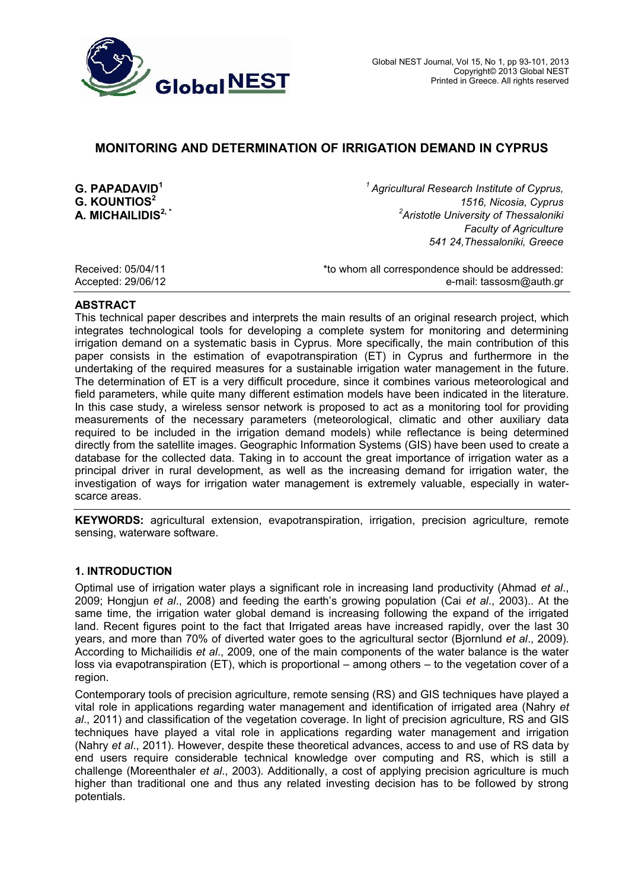

# **MONITORING AND DETERMINATION OF IRRIGATION DEMAND IN CYPRUS**

**G. PAPADAVID<sup>1</sup>** *<sup>1</sup>* **G. KOUNTIOS<sup>2</sup> A. MICHAILIDIS2, \*** *<sup>2</sup>* *Agricultural Research Institute of Cyprus, 1516, Nicosia, Cyprus Aristotle University of Thessaloniki Faculty of Agriculture 541 24,Thessaloniki, Greece*

Received: 05/04/11 **Exerceived:** 05/04/11 **the addressed:**  $\star$  to whom all correspondence should be addressed: Accepted: 29/06/12 e-mail: tassosm@auth.gr

### **ABSTRACT**

This technical paper describes and interprets the main results of an original research project, which integrates technological tools for developing a complete system for monitoring and determining irrigation demand on a systematic basis in Cyprus. More specifically, the main contribution of this paper consists in the estimation of evapotranspiration (ET) in Cyprus and furthermore in the undertaking of the required measures for a sustainable irrigation water management in the future. The determination of ET is a very difficult procedure, since it combines various meteorological and field parameters, while quite many different estimation models have been indicated in the literature. In this case study, a wireless sensor network is proposed to act as a monitoring tool for providing measurements of the necessary parameters (meteorological, climatic and other auxiliary data required to be included in the irrigation demand models) while reflectance is being determined directly from the satellite images. Geographic Information Systems (GIS) have been used to create a database for the collected data. Taking in to account the great importance of irrigation water as a principal driver in rural development, as well as the increasing demand for irrigation water, the investigation of ways for irrigation water management is extremely valuable, especially in waterscarce areas.

**KEYWORDS:** agricultural extension, evapotranspiration, irrigation, precision agriculture, remote sensing, waterware software.

## **1. INTRODUCTION**

Optimal use of irrigation water plays a significant role in increasing land productivity (Ahmad *et al*., 2009; Hongjun *et al*., 2008) and feeding the earth's growing population (Cai *et al*., 2003).. At the same time, the irrigation water global demand is increasing following the expand of the irrigated land. Recent figures point to the fact that Irrigated areas have increased rapidly, over the last 30 years, and more than 70% of diverted water goes to the agricultural sector (Bjornlund *et al*., 2009). According to Michailidis *et al*., 2009, one of the main components of the water balance is the water loss via evapotranspiration (ET), which is proportional – among others – to the vegetation cover of a region.

Contemporary tools of precision agriculture, remote sensing (RS) and GIS techniques have played a vital role in applications regarding water management and identification of irrigated area (Nahry *et al*., 2011) and classification of the vegetation coverage. In light of precision agriculture, RS and GIS techniques have played a vital role in applications regarding water management and irrigation (Nahry *et al*., 2011). However, despite these theoretical advances, access to and use of RS data by end users require considerable technical knowledge over computing and RS, which is still a challenge (Moreenthaler *et al*., 2003). Additionally, a cost of applying precision agriculture is much higher than traditional one and thus any related investing decision has to be followed by strong potentials.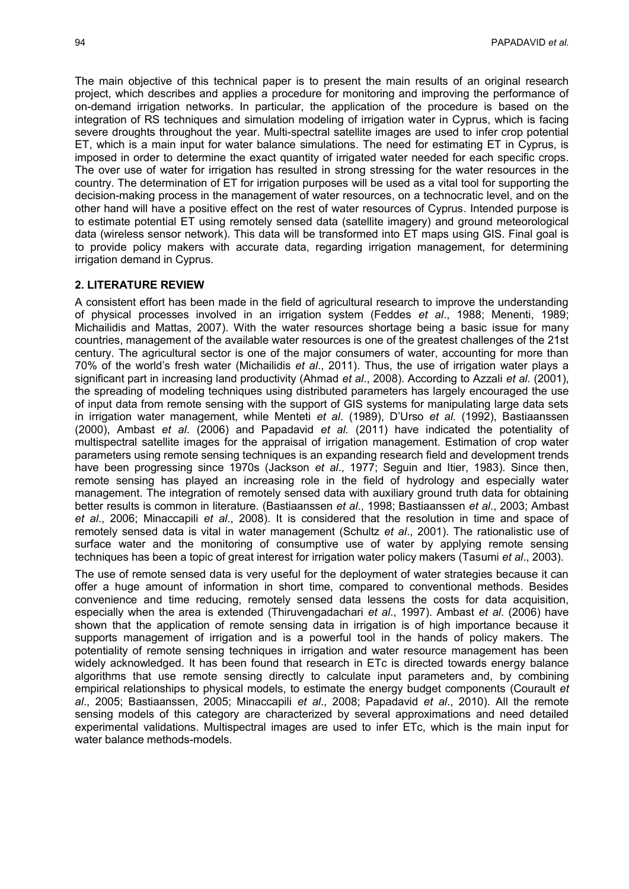The main objective of this technical paper is to present the main results of an original research project, which describes and applies a procedure for monitoring and improving the performance of on-demand irrigation networks. In particular, the application of the procedure is based on the integration of RS techniques and simulation modeling of irrigation water in Cyprus, which is facing severe droughts throughout the year. Multi-spectral satellite images are used to infer crop potential ET, which is a main input for water balance simulations. The need for estimating ET in Cyprus, is imposed in order to determine the exact quantity of irrigated water needed for each specific crops. The over use of water for irrigation has resulted in strong stressing for the water resources in the country. The determination of ET for irrigation purposes will be used as a vital tool for supporting the decision-making process in the management of water resources, on a technocratic level, and on the other hand will have a positive effect on the rest of water resources of Cyprus. Intended purpose is to estimate potential ET using remotely sensed data (satellite imagery) and ground meteorological data (wireless sensor network). This data will be transformed into ET maps using GIS. Final goal is to provide policy makers with accurate data, regarding irrigation management, for determining irrigation demand in Cyprus.

## **2. LITERATURE REVIEW**

A consistent effort has been made in the field of agricultural research to improve the understanding of physical processes involved in an irrigation system (Feddes *et al*., 1988; Menenti, 1989; Michailidis and Mattas, 2007). With the water resources shortage being a basic issue for many countries, management of the available water resources is one of the greatest challenges of the 21st century. The agricultural sector is one of the major consumers of water, accounting for more than 70% of the world's fresh water (Michailidis *et al*., 2011). Thus, the use of irrigation water plays a significant part in increasing land productivity (Ahmad *et al*., 2008). According to Azzali *et al.* (2001), the spreading of modeling techniques using distributed parameters has largely encouraged the use of input data from remote sensing with the support of GIS systems for manipulating large data sets in irrigation water management, while Menteti *et al*. (1989), D'Urso *et al.* (1992), Bastiaanssen (2000), Ambast *et al*. (2006) and Papadavid *et al.* (2011) have indicated the potentiality of multispectral satellite images for the appraisal of irrigation management. Estimation of crop water parameters using remote sensing techniques is an expanding research field and development trends have been progressing since 1970s (Jackson *et al*., 1977; Seguin and Itier, 1983). Since then, remote sensing has played an increasing role in the field of hydrology and especially water management. The integration of remotely sensed data with auxiliary ground truth data for obtaining better results is common in literature. (Bastiaanssen *et al*., 1998; Bastiaanssen *et al*., 2003; Ambast *et al*., 2006; Minaccapili *et al*., 2008). It is considered that the resolution in time and space of remotely sensed data is vital in water management (Schultz *et al*., 2001). The rationalistic use of surface water and the monitoring of consumptive use of water by applying remote sensing techniques has been a topic of great interest for irrigation water policy makers (Tasumi *et al*., 2003).

The use of remote sensed data is very useful for the deployment of water strategies because it can offer a huge amount of information in short time, compared to conventional methods. Besides convenience and time reducing, remotely sensed data lessens the costs for data acquisition, especially when the area is extended (Thiruvengadachari *et al*., 1997). Ambast *et al*. (2006) have shown that the application of remote sensing data in irrigation is of high importance because it supports management of irrigation and is a powerful tool in the hands of policy makers. The potentiality of remote sensing techniques in irrigation and water resource management has been widely acknowledged. It has been found that research in ETc is directed towards energy balance algorithms that use remote sensing directly to calculate input parameters and, by combining empirical relationships to physical models, to estimate the energy budget components (Courault *et al*., 2005; Bastiaanssen, 2005; Minaccapili *et al*., 2008; Papadavid *et al*., 2010). All the remote sensing models of this category are characterized by several approximations and need detailed experimental validations. Multispectral images are used to infer ETc, which is the main input for water balance methods-models.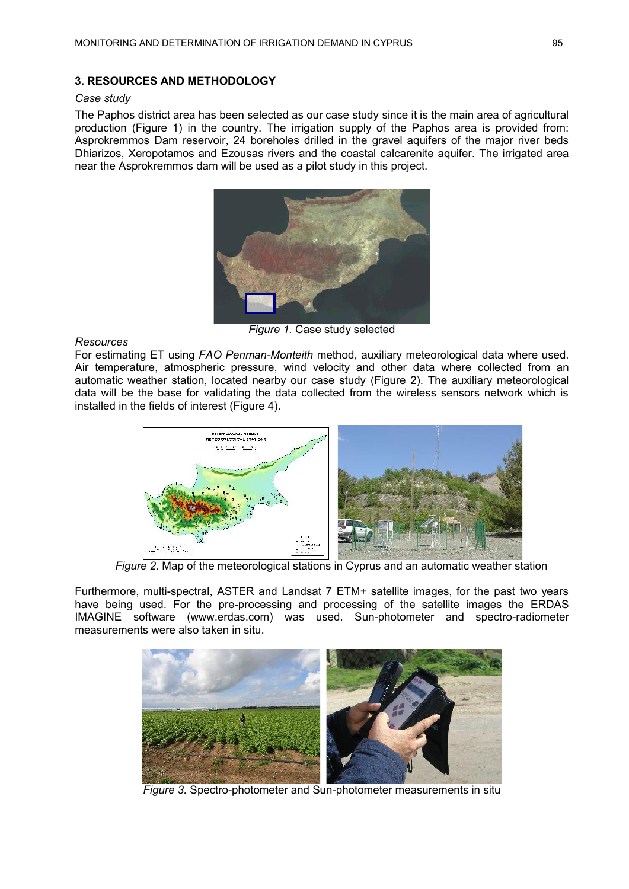## **3. RESOURCES AND METHODOLOGY**

## *Case study*

The Paphos district area has been selected as our case study since it is the main area of agricultural production (Figure 1) in the country. The irrigation supply of the Paphos area is provided from: Asprokremmos Dam reservoir, 24 boreholes drilled in the gravel aquifers of the major river beds Dhiarizos, Xeropotamos and Ezousas rivers and the coastal calcarenite aquifer. The irrigated area near the Asprokremmos dam will be used as a pilot study in this project.



*Figure 1.* Case study selected

## *Resources*

For estimating ET using *FAO Penman-Monteith* method, auxiliary meteorological data where used. Air temperature, atmospheric pressure, wind velocity and other data where collected from an automatic weather station, located nearby our case study (Figure 2). The auxiliary meteorological data will be the base for validating the data collected from the wireless sensors network which is installed in the fields of interest (Figure 4).



*Figure 2.* Map of the meteorological stations in Cyprus and an automatic weather station

Furthermore, multi-spectral, ASTER and Landsat 7 ETM+ satellite images, for the past two years have being used. For the pre-processing and processing of the satellite images the ERDAS IMAGINE software (www.erdas.com) was used. Sun-photometer and spectro-radiometer measurements were also taken in situ.



*Figure 3.* Spectro-photometer and Sun-photometer measurements in situ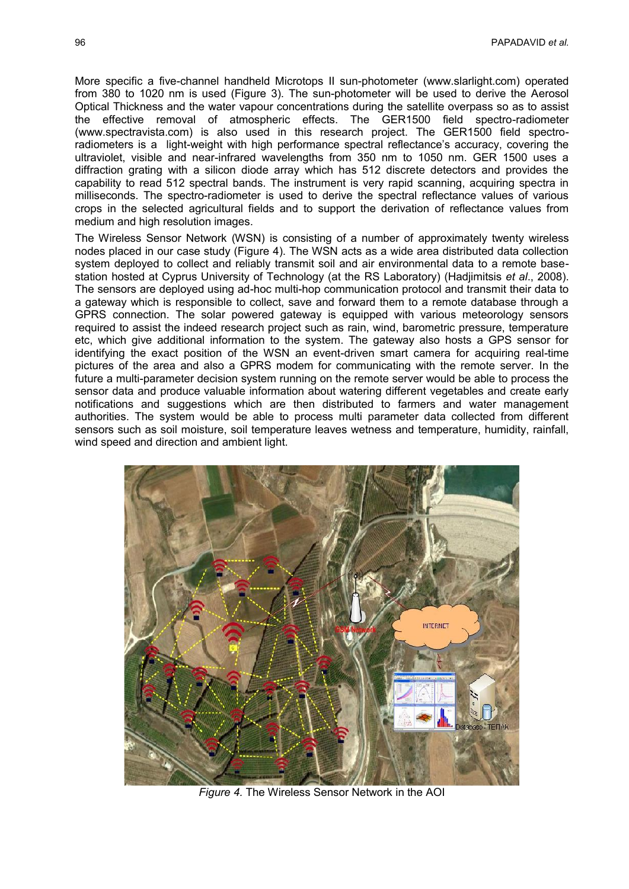More specific a five-channel handheld Microtops II sun-photometer (www.slarlight.com) operated from 380 to 1020 nm is used (Figure 3). The sun-photometer will be used to derive the Aerosol Optical Thickness and the water vapour concentrations during the satellite overpass so as to assist the effective removal of atmospheric effects. The GER1500 field spectro-radiometer (www.spectravista.com) is also used in this research project. The GER1500 field spectroradiometers is a light-weight with high performance spectral reflectance's accuracy, covering the ultraviolet, visible and near-infrared wavelengths from 350 nm to 1050 nm. GER 1500 uses a diffraction grating with a silicon diode array which has 512 discrete detectors and provides the capability to read 512 spectral bands. The instrument is very rapid scanning, acquiring spectra in milliseconds. The spectro-radiometer is used to derive the spectral reflectance values of various crops in the selected agricultural fields and to support the derivation of reflectance values from medium and high resolution images.

The Wireless Sensor Network (WSN) is consisting of a number of approximately twenty wireless nodes placed in our case study (Figure 4). The WSN acts as a wide area distributed data collection system deployed to collect and reliably transmit soil and air environmental data to a remote basestation hosted at Cyprus University of Technology (at the RS Laboratory) (Hadjimitsis *et al*., 2008). The sensors are deployed using ad-hoc multi-hop communication protocol and transmit their data to a gateway which is responsible to collect, save and forward them to a remote database through a GPRS connection. The solar powered gateway is equipped with various meteorology sensors required to assist the indeed research project such as rain, wind, barometric pressure, temperature etc, which give additional information to the system. The gateway also hosts a GPS sensor for identifying the exact position of the WSN an event-driven smart camera for acquiring real-time pictures of the area and also a GPRS modem for communicating with the remote server. In the future a multi-parameter decision system running on the remote server would be able to process the sensor data and produce valuable information about watering different vegetables and create early notifications and suggestions which are then distributed to farmers and water management authorities. The system would be able to process multi parameter data collected from different sensors such as soil moisture, soil temperature leaves wetness and temperature, humidity, rainfall, wind speed and direction and ambient light.



*Figure 4.* The Wireless Sensor Network in the AOI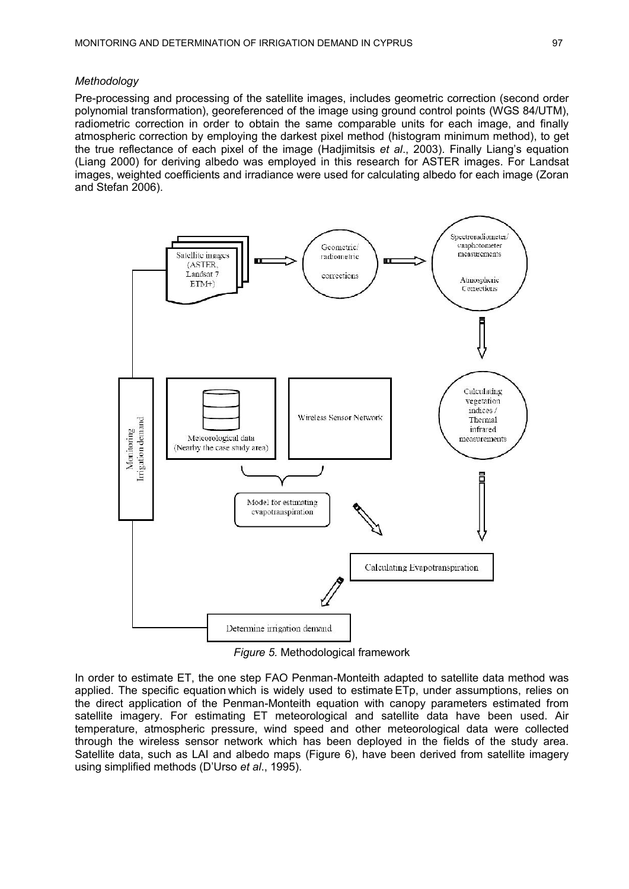#### *Methodology*

Pre-processing and processing of the satellite images, includes geometric correction (second order polynomial transformation), georeferenced of the image using ground control points (WGS 84/UTM), radiometric correction in order to obtain the same comparable units for each image, and finally atmospheric correction by employing the darkest pixel method (histogram minimum method), to get the true reflectance of each pixel of the image (Hadjimitsis *et al*., 2003). Finally Liang's equation (Liang 2000) for deriving albedo was employed in this research for ASTER images. For Landsat images, weighted coefficients and irradiance were used for calculating albedo for each image (Zoran and Stefan 2006).



*Figure 5.* Methodological framework

In order to estimate ET, the one step FAO Penman-Monteith adapted to satellite data method was applied. The specific equation which is widely used to estimate ETp, under assumptions, relies on the direct application of the Penman-Monteith equation with canopy parameters estimated from satellite imagery. For estimating ET meteorological and satellite data have been used. Air temperature, atmospheric pressure, wind speed and other meteorological data were collected through the wireless sensor network which has been deployed in the fields of the study area. Satellite data, such as LAI and albedo maps (Figure 6), have been derived from satellite imagery using simplified methods (D'Urso *et al*., 1995).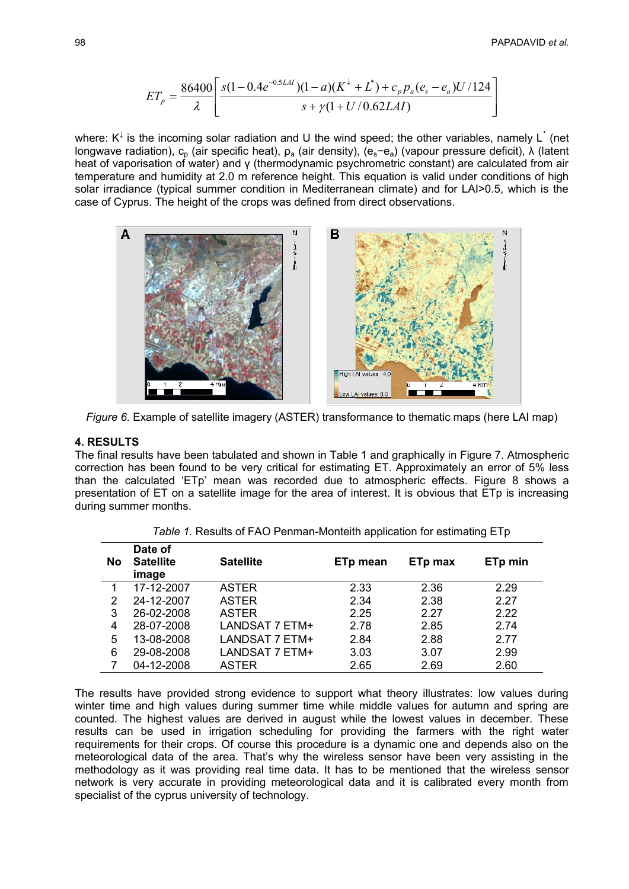$$
ET_p = \frac{86400}{\lambda} \left[ \frac{s(1 - 0.4e^{-0.5LAI}) (1 - a)(K^{\downarrow} + L^*) + c_p p_a (e_s - e_a) U/124}{s + \gamma (1 + U/0.62LAI)} \right]
$$

where: K<sup> $\downarrow$ </sup> is the incoming solar radiation and U the wind speed; the other variables, namely L<sup>\*</sup> (net longwave radiation), c<sub>p</sub> (air specific heat),  $ρ_a$  (air density), (e<sub>s</sub>−e<sub>a</sub>) (vapour pressure deficit), λ (latent heat of vaporisation of water) and γ (thermodynamic psychrometric constant) are calculated from air temperature and humidity at 2.0 m reference height. This equation is valid under conditions of high solar irradiance (typical summer condition in Mediterranean climate) and for LAI>0.5, which is the case of Cyprus. The height of the crops was defined from direct observations.



*Figure 6.* Example of satellite imagery (ASTER) transformance to thematic maps (here LAI map)

#### **4. RESULTS**

The final results have been tabulated and shown in Table 1 and graphically in Figure 7. Atmospheric correction has been found to be very critical for estimating ET. Approximately an error of 5% less than the calculated 'ETp' mean was recorded due to atmospheric effects. Figure 8 shows a presentation of ET on a satellite image for the area of interest. It is obvious that ETp is increasing during summer months.

| No | Date of<br><b>Satellite</b><br>image | <b>Satellite</b> | ETp mean | ETp max | ETp min |
|----|--------------------------------------|------------------|----------|---------|---------|
|    | 17-12-2007                           | <b>ASTER</b>     | 2.33     | 2.36    | 2.29    |
| 2  | 24-12-2007                           | <b>ASTER</b>     | 2.34     | 2.38    | 2.27    |
| 3  | 26-02-2008                           | <b>ASTER</b>     | 2.25     | 2.27    | 2.22    |
| 4  | 28-07-2008                           | LANDSAT 7 ETM+   | 2.78     | 2.85    | 2.74    |
| 5  | 13-08-2008                           | LANDSAT 7 ETM+   | 2.84     | 2.88    | 2.77    |
| 6  | 29-08-2008                           | LANDSAT 7 ETM+   | 3.03     | 3.07    | 2.99    |
|    | 04-12-2008                           | <b>ASTER</b>     | 2.65     | 2.69    | 2.60    |

*Table 1.* Results of FAO Penman-Monteith application for estimating ETp

The results have provided strong evidence to support what theory illustrates: low values during winter time and high values during summer time while middle values for autumn and spring are counted. The highest values are derived in august while the lowest values in december. These results can be used in irrigation scheduling for providing the farmers with the right water requirements for their crops. Of course this procedure is a dynamic one and depends also on the meteorological data of the area. That's why the wireless sensor have been very assisting in the methodology as it was providing real time data. It has to be mentioned that the wireless sensor network is very accurate in providing meteorological data and it is calibrated every month from specialist of the cyprus university of technology.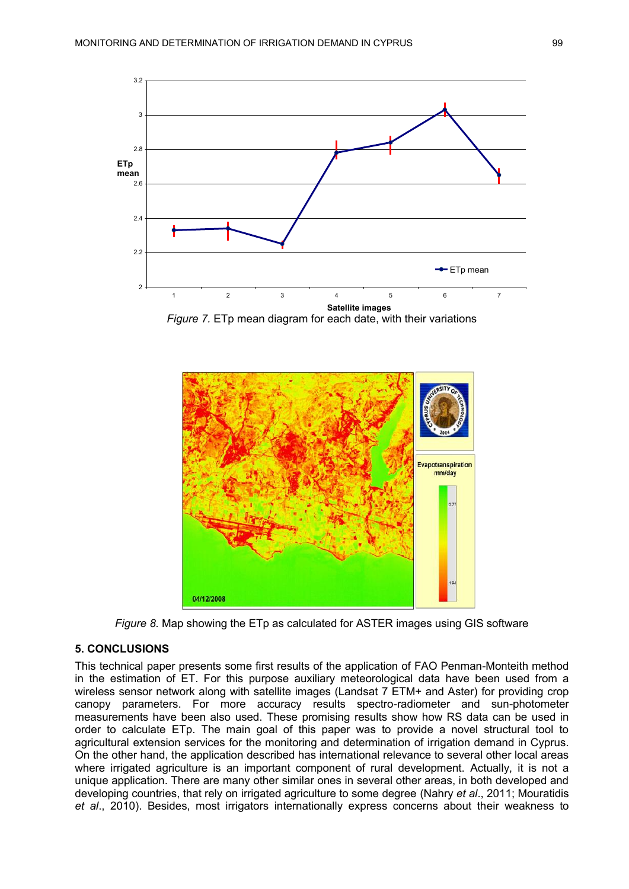

*Figure 7.* ETp mean diagram for each date, with their variations



*Figure 8.* Map showing the ETp as calculated for ASTER images using GIS software

#### **5. CONCLUSIONS**

This technical paper presents some first results of the application of FAO Penman-Monteith method in the estimation of ET. For this purpose auxiliary meteorological data have been used from a wireless sensor network along with satellite images (Landsat 7 ETM+ and Aster) for providing crop canopy parameters. For more accuracy results spectro-radiometer and sun-photometer measurements have been also used. These promising results show how RS data can be used in order to calculate ETp. The main goal of this paper was to provide a novel structural tool to agricultural extension services for the monitoring and determination of irrigation demand in Cyprus. On the other hand, the application described has international relevance to several other local areas where irrigated agriculture is an important component of rural development. Actually, it is not a unique application. There are many other similar ones in several other areas, in both developed and developing countries, that rely on irrigated agriculture to some degree (Nahry *et al*., 2011; Mouratidis *et al*., 2010). Besides, most irrigators internationally express concerns about their weakness to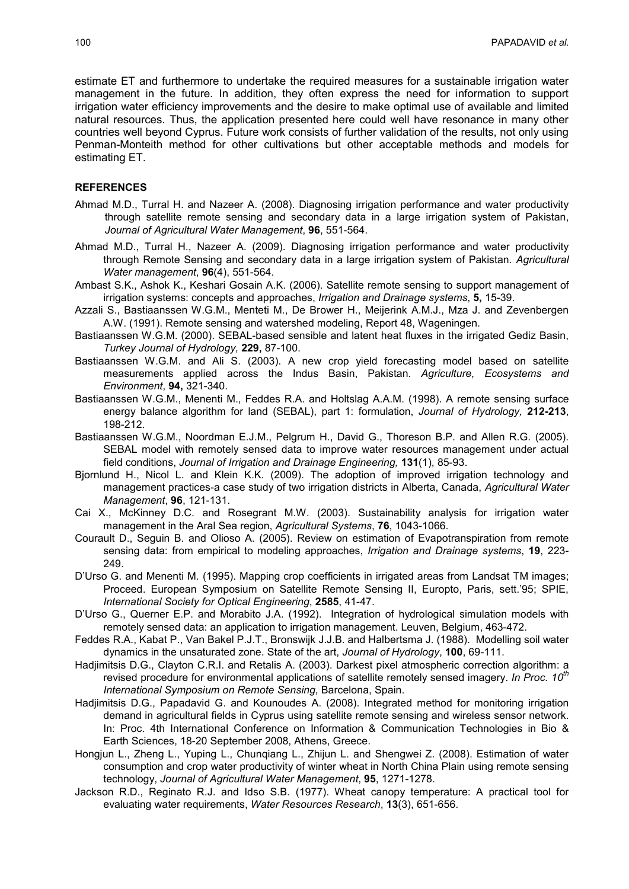estimate ET and furthermore to undertake the required measures for a sustainable irrigation water management in the future. In addition, they often express the need for information to support irrigation water efficiency improvements and the desire to make optimal use of available and limited natural resources. Thus, the application presented here could well have resonance in many other countries well beyond Cyprus. Future work consists of further validation of the results, not only using Penman-Monteith method for other cultivations but other acceptable methods and models for estimating ET.

#### **REFERENCES**

- Ahmad M.D., Turral H. and Nazeer A. (2008). Diagnosing irrigation performance and water productivity through satellite remote sensing and secondary data in a large irrigation system of Pakistan, *Journal of Agricultural Water Management*, **96**, 551-564.
- Ahmad M.D., Turral H., Nazeer A. (2009). Diagnosing irrigation performance and water productivity through Remote Sensing and secondary data in a large irrigation system of Pakistan. *Agricultural Water management*, **96**(4), 551-564.
- Ambast S.K., Ashok K., Keshari Gosain A.K. (2006). Satellite remote sensing to support management of irrigation systems: concepts and approaches, *Irrigation and Drainage systems*, **5,** 15-39.
- Azzali S., Bastiaanssen W.G.M., Menteti M., De Brower H., Meijerink A.M.J., Mza J. and Zevenbergen A.W. (1991). Remote sensing and watershed modeling, Report 48, Wageningen.
- Bastiaanssen W.G.M. (2000). SEBAL-based sensible and latent heat fluxes in the irrigated Gediz Basin, *Turkey Journal of Hydrology,* **229,** 87-100.
- Bastiaanssen W.G.M. and Ali S. (2003). A new crop yield forecasting model based on satellite measurements applied across the Indus Basin, Pakistan. *Agriculture, Ecosystems and Environment*, **94,** 321-340.
- Bastiaanssen W.G.M., Menenti M., Feddes R.A. and Holtslag A.A.M. (1998). A remote sensing surface energy balance algorithm for land (SEBAL), part 1: formulation, *Journal of Hydrology,* **212-213**, 198-212.
- Bastiaanssen W.G.M., Noordman E.J.M., Pelgrum H., David G., Thoreson B.P. and Allen R.G. (2005). SEBAL model with remotely sensed data to improve water resources management under actual field conditions, *Journal of Irrigation and Drainage Engineering,* **131**(1), 85-93.
- Bjornlund H., Nicol L. and Klein K.K. (2009). The adoption of improved irrigation technology and management practices-a case study of two irrigation districts in Alberta, Canada, *Agricultural Water Management*, **96**, 121-131.
- Cai X., McKinney D.C. and Rosegrant M.W. (2003). Sustainability analysis for irrigation water management in the Aral Sea region, *Agricultural Systems*, **76**, 1043-1066.
- Courault D., Seguin B. and Olioso A. (2005). Review on estimation of Evapotranspiration from remote sensing data: from empirical to modeling approaches, *Irrigation and Drainage systems*, **19**, 223- 249.
- D'Urso G. and Menenti M. (1995). Mapping crop coefficients in irrigated areas from Landsat TM images; Proceed. European Symposium on Satellite Remote Sensing II, Europto, Paris, sett.'95; SPIE, *International Society for Optical Engineering*, **2585**, 41-47.
- D'Urso G., Querner E.P. and Morabito J.A. (1992). Integration of hydrological simulation models with remotely sensed data: an application to irrigation management. Leuven, Belgium, 463-472.
- Feddes R.A., Kabat P., Van Bakel P.J.T., Bronswijk J.J.B. and Halbertsma J. (1988). Modelling soil water dynamics in the unsaturated zone. State of the art, *Journal of Hydrology*, **100**, 69-111.
- Hadjimitsis D.G., Clayton C.R.I. and Retalis A. (2003). Darkest pixel atmospheric correction algorithm: a revised procedure for environmental applications of satellite remotely sensed imagery. *In Proc. 10th International Symposium on Remote Sensing*, Barcelona, Spain.
- Hadjimitsis D.G., Papadavid G. and Kounoudes A. (2008). Integrated method for monitoring irrigation demand in agricultural fields in Cyprus using satellite remote sensing and wireless sensor network. In: Proc. 4th International Conference on Information & Communication Technologies in Bio & Earth Sciences, 18-20 September 2008, Athens, Greece.
- Hongjun L., Zheng L., Yuping L., Chunqiang L., Zhijun L. and Shengwei Z. (2008). Estimation of water consumption and crop water productivity of winter wheat in North China Plain using remote sensing technology, *Journal of Agricultural Water Management*, **95**, 1271-1278.
- Jackson R.D., Reginato R.J. and Idso S.B. (1977). Wheat canopy temperature: A practical tool for evaluating water requirements, *Water Resources Research*, **13**(3), 651-656.